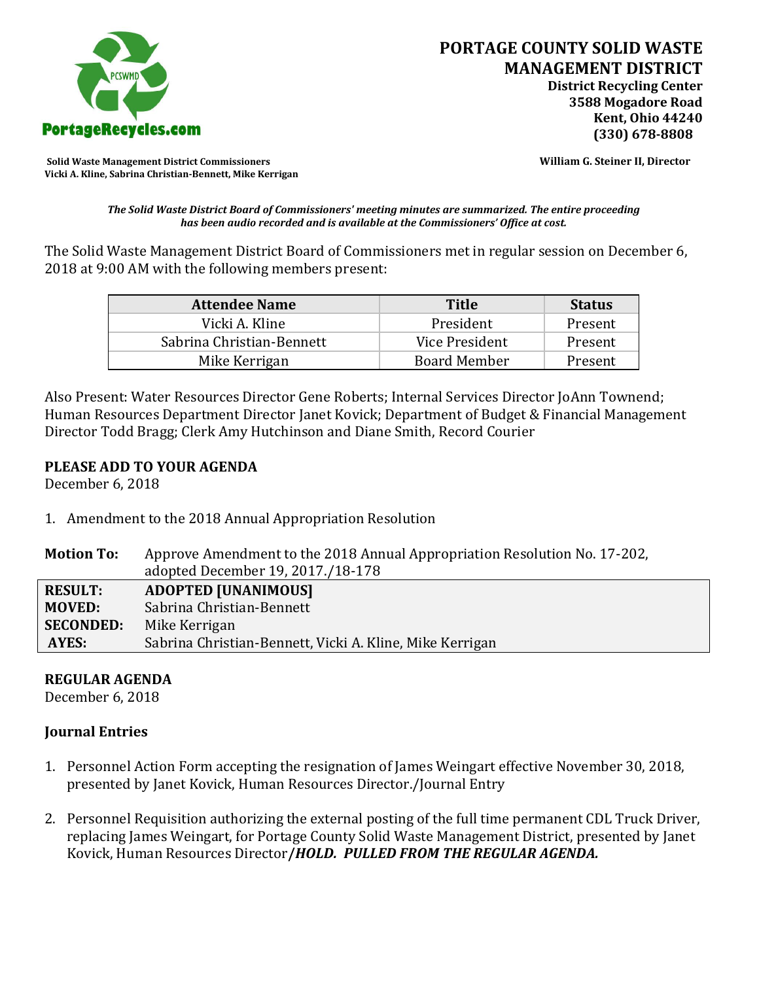

**Solid Waste Management District Commissioners William G. Steiner II, Director Vicki A. Kline, Sabrina Christian-Bennett, Mike Kerrigan** 

*The Solid Waste District Board of Commissioners' meeting minutes are summarized. The entire proceeding has been audio recorded and is available at the Commissioners' Office at cost.*

The Solid Waste Management District Board of Commissioners met in regular session on December 6, 2018 at 9:00 AM with the following members present:

| <b>Attendee Name</b>      | <b>Title</b>        | <b>Status</b> |
|---------------------------|---------------------|---------------|
| Vicki A. Kline            | President           | Present       |
| Sabrina Christian-Bennett | Vice President      | Present       |
| Mike Kerrigan             | <b>Board Member</b> | Present       |

Also Present: Water Resources Director Gene Roberts; Internal Services Director JoAnn Townend; Human Resources Department Director Janet Kovick; Department of Budget & Financial Management Director Todd Bragg; Clerk Amy Hutchinson and Diane Smith, Record Courier

### **PLEASE ADD TO YOUR AGENDA**

December 6, 2018

- 1. Amendment to the 2018 Annual Appropriation Resolution
- **Motion To:** Approve Amendment to the 2018 Annual Appropriation Resolution No. 17-202, adopted December 19, 2017./18-178 **RESULT: ADOPTED [UNANIMOUS] MOVED:** Sabrina Christian-Bennett **SECONDED:** Mike Kerrigan **AYES:** Sabrina Christian-Bennett, Vicki A. Kline, Mike Kerrigan

## **REGULAR AGENDA**

December 6, 2018

## **Journal Entries**

- 1. Personnel Action Form accepting the resignation of James Weingart effective November 30, 2018, presented by Janet Kovick, Human Resources Director./Journal Entry
- 2. Personnel Requisition authorizing the external posting of the full time permanent CDL Truck Driver, replacing James Weingart, for Portage County Solid Waste Management District, presented by Janet Kovick, Human Resources Director**/***HOLD. PULLED FROM THE REGULAR AGENDA.*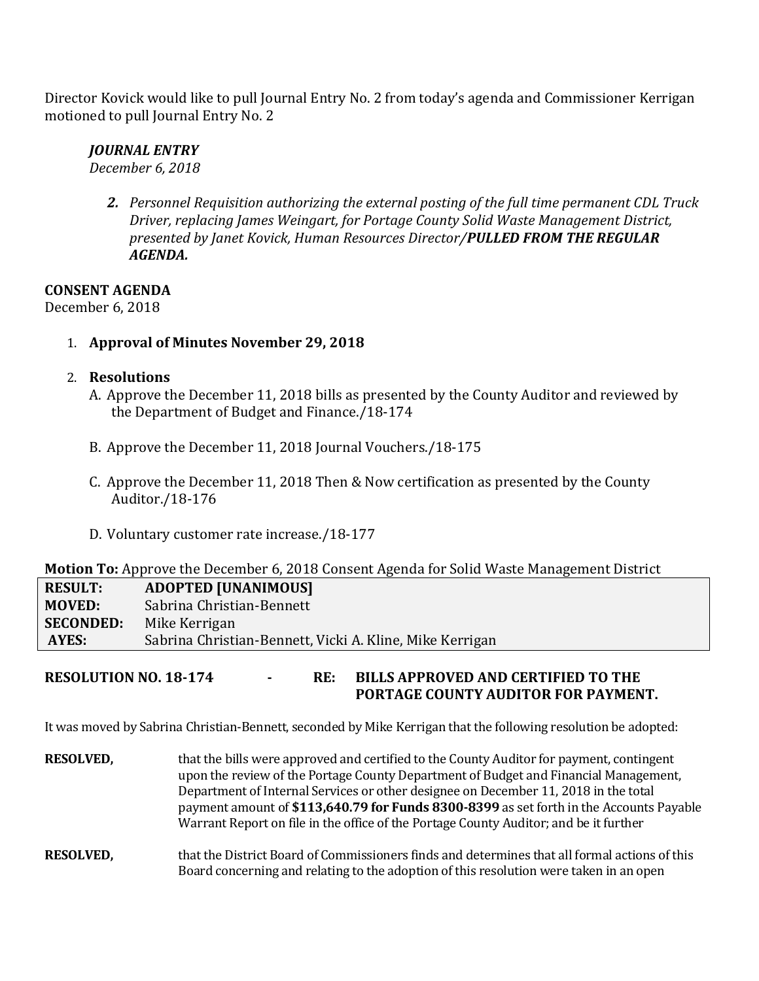Director Kovick would like to pull Journal Entry No. 2 from today's agenda and Commissioner Kerrigan motioned to pull Journal Entry No. 2

# *JOURNAL ENTRY*

*December 6, 2018*

*2. Personnel Requisition authorizing the external posting of the full time permanent CDL Truck Driver, replacing James Weingart, for Portage County Solid Waste Management District, presented by Janet Kovick, Human Resources Director/PULLED FROM THE REGULAR AGENDA.*

**CONSENT AGENDA**

December 6, 2018

1. **Approval of Minutes November 29, 2018**

## 2. **Resolutions**

- A. Approve the December 11, 2018 bills as presented by the County Auditor and reviewed by the Department of Budget and Finance./18-174
- B. Approve the December 11, 2018 Journal Vouchers./18-175
- C. Approve the December 11, 2018 Then & Now certification as presented by the County Auditor./18-176
- D. Voluntary customer rate increase./18-177

## **Motion To:** Approve the December 6, 2018 Consent Agenda for Solid Waste Management District

| RESULT:          | <b>ADOPTED [UNANIMOUS]</b>                               |
|------------------|----------------------------------------------------------|
| MOVED:           | Sabrina Christian-Bennett                                |
| <b>SECONDED:</b> | Mike Kerrigan                                            |
| AYES:            | Sabrina Christian-Bennett, Vicki A. Kline, Mike Kerrigan |

**RESOLUTION NO. 18-174 - RE: BILLS APPROVED AND CERTIFIED TO THE PORTAGE COUNTY AUDITOR FOR PAYMENT.** 

It was moved by Sabrina Christian-Bennett, seconded by Mike Kerrigan that the following resolution be adopted:

- **RESOLVED,** that the bills were approved and certified to the County Auditor for payment, contingent upon the review of the Portage County Department of Budget and Financial Management, Department of Internal Services or other designee on December 11, 2018 in the total payment amount of **\$113,640.79 for Funds 8300-8399** as set forth in the Accounts Payable Warrant Report on file in the office of the Portage County Auditor; and be it further
- **RESOLVED,** that the District Board of Commissioners finds and determines that all formal actions of this Board concerning and relating to the adoption of this resolution were taken in an open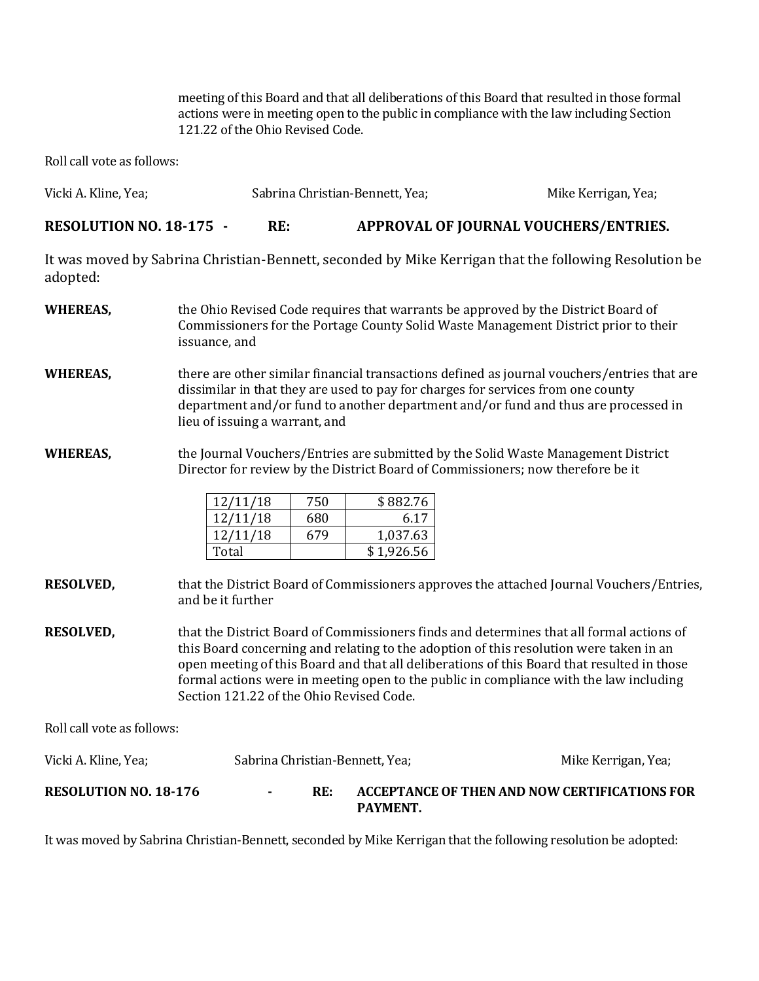meeting of this Board and that all deliberations of this Board that resulted in those formal actions were in meeting open to the public in compliance with the law including Section 121.22 of the Ohio Revised Code.

Roll call vote as follows:

| Vicki A. Kline, Yea;           | Sabrina Christian-Bennett, Yea; |                                       | Mike Kerrigan, Yea; |
|--------------------------------|---------------------------------|---------------------------------------|---------------------|
| <b>RESOLUTION NO. 18-175 -</b> | RE:                             | APPROVAL OF JOURNAL VOUCHERS/ENTRIES. |                     |

It was moved by Sabrina Christian-Bennett, seconded by Mike Kerrigan that the following Resolution be adopted:

- **WHEREAS,** the Ohio Revised Code requires that warrants be approved by the District Board of Commissioners for the Portage County Solid Waste Management District prior to their issuance, and
- **WHEREAS,** there are other similar financial transactions defined as journal vouchers/entries that are dissimilar in that they are used to pay for charges for services from one county department and/or fund to another department and/or fund and thus are processed in lieu of issuing a warrant, and
- **WHEREAS,** the Journal Vouchers/Entries are submitted by the Solid Waste Management District Director for review by the District Board of Commissioners; now therefore be it

| 12/11/18 | 750 | \$882.76   |
|----------|-----|------------|
| 12/11/18 | 680 | 6.17       |
| 12/11/18 | 679 | 1,037.63   |
| Total    |     | \$1.926.56 |

- **RESOLVED,** that the District Board of Commissioners approves the attached Journal Vouchers/Entries, and be it further
- **RESOLVED,** that the District Board of Commissioners finds and determines that all formal actions of this Board concerning and relating to the adoption of this resolution were taken in an open meeting of this Board and that all deliberations of this Board that resulted in those formal actions were in meeting open to the public in compliance with the law including Section 121.22 of the Ohio Revised Code.

Roll call vote as follows:

| Vicki A. Kline, Yea;         | Sabrina Christian-Bennett, Yea; |     |                                                                  | Mike Kerrigan, Yea; |
|------------------------------|---------------------------------|-----|------------------------------------------------------------------|---------------------|
| <b>RESOLUTION NO. 18-176</b> |                                 | RE: | ACCEPTANCE OF THEN AND NOW CERTIFICATIONS FOR<br><b>PAYMENT.</b> |                     |

It was moved by Sabrina Christian-Bennett, seconded by Mike Kerrigan that the following resolution be adopted: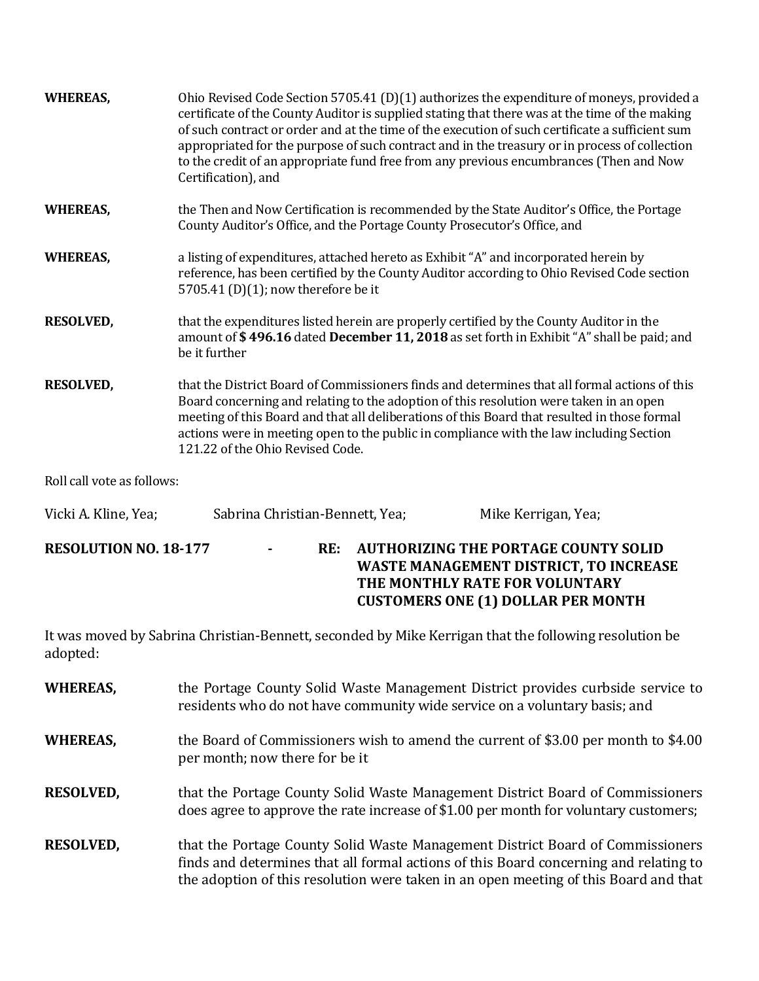| <b>WHEREAS,</b>            | Ohio Revised Code Section 5705.41 (D)(1) authorizes the expenditure of moneys, provided a<br>certificate of the County Auditor is supplied stating that there was at the time of the making<br>of such contract or order and at the time of the execution of such certificate a sufficient sum<br>appropriated for the purpose of such contract and in the treasury or in process of collection<br>to the credit of an appropriate fund free from any previous encumbrances (Then and Now<br>Certification), and |
|----------------------------|------------------------------------------------------------------------------------------------------------------------------------------------------------------------------------------------------------------------------------------------------------------------------------------------------------------------------------------------------------------------------------------------------------------------------------------------------------------------------------------------------------------|
| <b>WHEREAS,</b>            | the Then and Now Certification is recommended by the State Auditor's Office, the Portage<br>County Auditor's Office, and the Portage County Prosecutor's Office, and                                                                                                                                                                                                                                                                                                                                             |
| <b>WHEREAS,</b>            | a listing of expenditures, attached hereto as Exhibit "A" and incorporated herein by<br>reference, has been certified by the County Auditor according to Ohio Revised Code section<br>5705.41 (D)(1); now therefore be it                                                                                                                                                                                                                                                                                        |
| <b>RESOLVED,</b>           | that the expenditures listed herein are properly certified by the County Auditor in the<br>amount of \$496.16 dated December 11, 2018 as set forth in Exhibit "A" shall be paid; and<br>be it further                                                                                                                                                                                                                                                                                                            |
| <b>RESOLVED,</b>           | that the District Board of Commissioners finds and determines that all formal actions of this<br>Board concerning and relating to the adoption of this resolution were taken in an open<br>meeting of this Board and that all deliberations of this Board that resulted in those formal<br>actions were in meeting open to the public in compliance with the law including Section<br>121.22 of the Ohio Revised Code.                                                                                           |
| Roll call vote as follows: |                                                                                                                                                                                                                                                                                                                                                                                                                                                                                                                  |
| Vicki A. Kline, Yea;       | Sabrina Christian-Bennett, Yea;<br>Mike Kerrigan, Yea;                                                                                                                                                                                                                                                                                                                                                                                                                                                           |
| RESOLUTION NO 18-177       | AUTHORIZING THE PORTAGE COUNTY SOLID<br>$RF-$                                                                                                                                                                                                                                                                                                                                                                                                                                                                    |

**RESOLUTION NO. 18-177 - RE:** AUTHORIZING THE **WASTE MANAGEMENT DISTRICT, TO INCREASE THE MONTHLY RATE FOR VOLUNTARY CUSTOMERS ONE (1) DOLLAR PER MONTH** 

It was moved by Sabrina Christian-Bennett, seconded by Mike Kerrigan that the following resolution be adopted:

| <b>WHEREAS,</b>  | the Portage County Solid Waste Management District provides curbside service to<br>residents who do not have community wide service on a voluntary basis; and                                                                                                   |
|------------------|-----------------------------------------------------------------------------------------------------------------------------------------------------------------------------------------------------------------------------------------------------------------|
| <b>WHEREAS,</b>  | the Board of Commissioners wish to amend the current of \$3.00 per month to \$4.00<br>per month; now there for be it                                                                                                                                            |
| <b>RESOLVED,</b> | that the Portage County Solid Waste Management District Board of Commissioners<br>does agree to approve the rate increase of \$1.00 per month for voluntary customers;                                                                                          |
| <b>RESOLVED,</b> | that the Portage County Solid Waste Management District Board of Commissioners<br>finds and determines that all formal actions of this Board concerning and relating to<br>the adoption of this resolution were taken in an open meeting of this Board and that |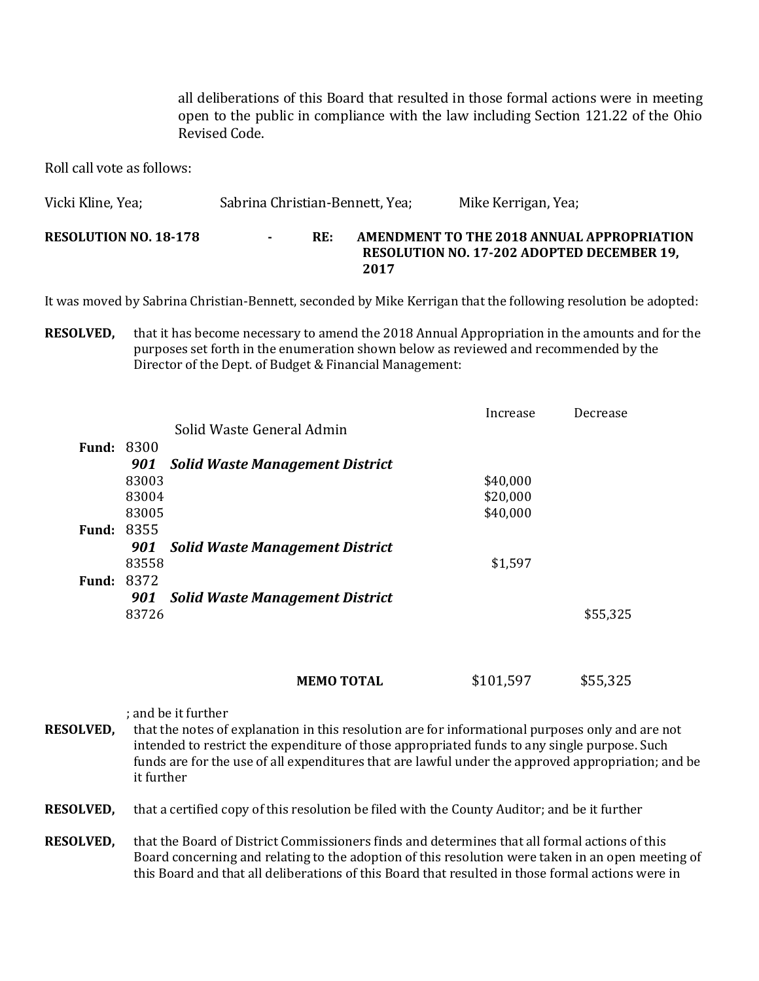all deliberations of this Board that resulted in those formal actions were in meeting open to the public in compliance with the law including Section 121.22 of the Ohio Revised Code.

Roll call vote as follows:

| Vicki Kline, Yea;            | Sabrina Christian-Bennett, Yea; |     |      | Mike Kerrigan, Yea;                                                                             |
|------------------------------|---------------------------------|-----|------|-------------------------------------------------------------------------------------------------|
| <b>RESOLUTION NO. 18-178</b> |                                 | RE: | 2017 | AMENDMENT TO THE 2018 ANNUAL APPROPRIATION<br><b>RESOLUTION NO. 17-202 ADOPTED DECEMBER 19.</b> |

It was moved by Sabrina Christian-Bennett, seconded by Mike Kerrigan that the following resolution be adopted:

**RESOLVED,** that it has become necessary to amend the 2018 Annual Appropriation in the amounts and for the purposes set forth in the enumeration shown below as reviewed and recommended by the Director of the Dept. of Budget & Financial Management:

|                   |       |                                        | Increase | Decrease |
|-------------------|-------|----------------------------------------|----------|----------|
|                   |       | Solid Waste General Admin              |          |          |
| <b>Fund: 8300</b> |       |                                        |          |          |
|                   | 901   | <b>Solid Waste Management District</b> |          |          |
|                   | 83003 |                                        | \$40,000 |          |
|                   | 83004 |                                        | \$20,000 |          |
|                   | 83005 |                                        | \$40,000 |          |
| <b>Fund: 8355</b> |       |                                        |          |          |
|                   | 901   | <b>Solid Waste Management District</b> |          |          |
|                   | 83558 |                                        | \$1,597  |          |
| <b>Fund: 8372</b> |       |                                        |          |          |
|                   | 901   | <b>Solid Waste Management District</b> |          |          |
|                   | 83726 |                                        |          | \$55,325 |

| \$101,597<br><b>MEMO TOTAL</b> | \$55,325 |
|--------------------------------|----------|
|--------------------------------|----------|

; and be it further **RESOLVED,** that the notes of explanation in this resolution are for informational purposes only and are not intended to restrict the expenditure of those appropriated funds to any single purpose. Such funds are for the use of all expenditures that are lawful under the approved appropriation; and be it further

**RESOLVED,** that a certified copy of this resolution be filed with the County Auditor; and be it further

**RESOLVED,** that the Board of District Commissioners finds and determines that all formal actions of this Board concerning and relating to the adoption of this resolution were taken in an open meeting of this Board and that all deliberations of this Board that resulted in those formal actions were in